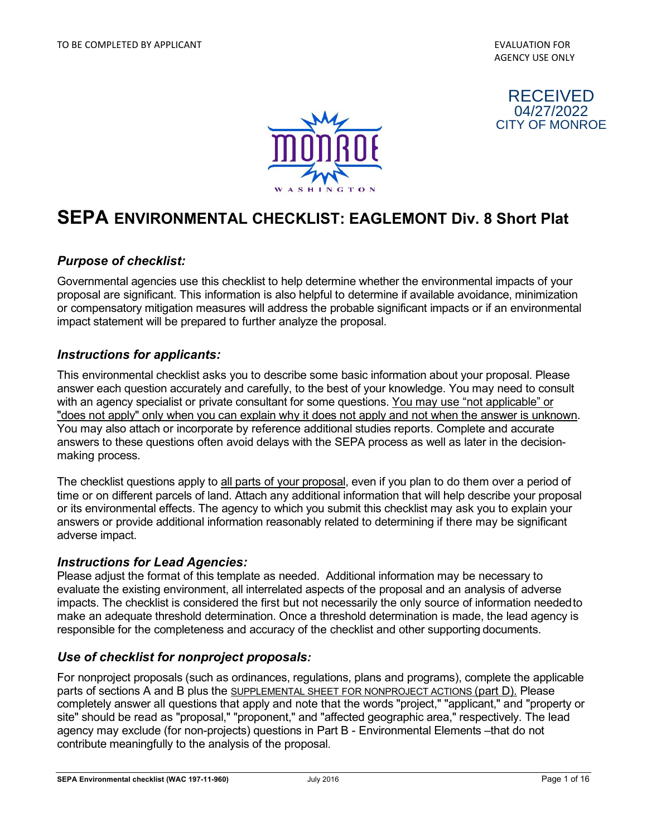



# **SEPA ENVIRONMENTAL CHECKLIST: EAGLEMONT Div. 8 Short Plat**

#### *Purpose of checklist:*

Governmental agencies use this checklist to help determine whether the environmental impacts of your proposal are significant. This information is also helpful to determine if available avoidance, minimization or compensatory mitigation measures will address the probable significant impacts or if an environmental impact statement will be prepared to further analyze the proposal.

#### *Instructions for applicants:*

This environmental checklist asks you to describe some basic information about your proposal. Please answer each question accurately and carefully, to the best of your knowledge. You may need to consult with an agency specialist or private consultant for some questions. You may use "not applicable" or "does not apply" only when you can explain why it does not apply and not when the answer is unknown. You may also attach or incorporate by reference additional studies reports. Complete and accurate answers to these questions often avoid delays with the SEPA process as well as later in the decisionmaking process.

The checklist questions apply to all parts of your proposal, even if you plan to do them over a period of time or on different parcels of land. Attach any additional information that will help describe your proposal or its environmental effects. The agency to which you submit this checklist may ask you to explain your answers or provide additional information reasonably related to determining if there may be significant adverse impact.

#### *Instructions for Lead Agencies:*

Please adjust the format of this template as needed. Additional information may be necessary to evaluate the existing environment, all interrelated aspects of the proposal and an analysis of adverse impacts. The checklist is considered the first but not necessarily the only source of information needed to make an adequate threshold determination. Once a threshold determination is made, the lead agency is responsible for the completeness and accuracy of the checklist and other supporting documents.

#### *Use of checklist for nonproject proposals:*

For nonproject proposals (such as ordinances, regulations, plans and programs), complete the applicable parts of sections A and B plus the SUPPLEMENTAL SHEET FOR NONPROJECT ACTIONS (part D). Please completely answer all questions that apply and note that the words "project," "applicant," and "property or site" should be read as "proposal," "proponent," and "affected geographic area," respectively. The lead agency may exclude (for non-projects) questions in Part B - Environmental Elements –that do not contribute meaningfully to the analysis of the proposal.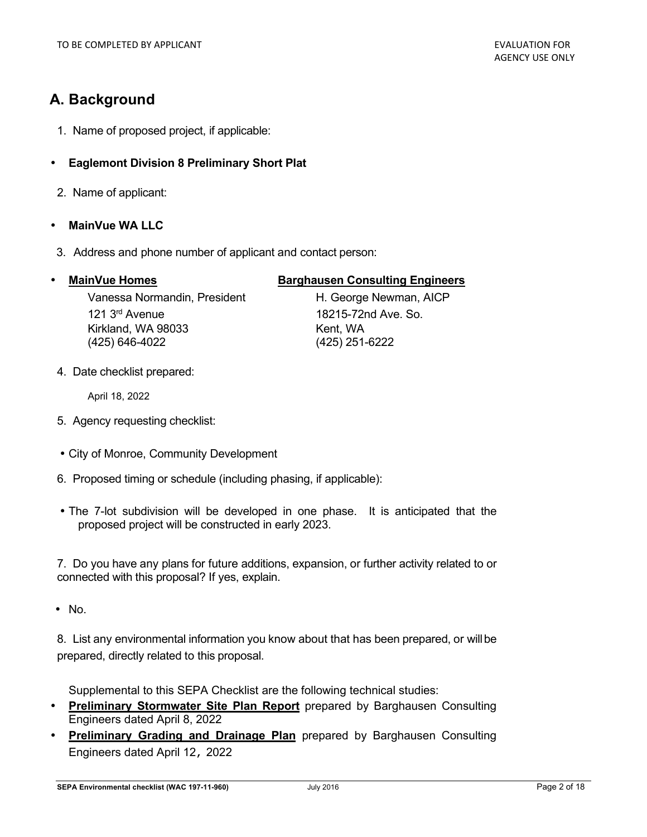# **A. Background**

- 1. Name of proposed project, if applicable:
- **Eaglemont Division 8 Preliminary Short Plat**
- 2. Name of applicant:
- **MainVue WA LLC**
- 3. Address and phone number of applicant and contact person:

#### **MainVue Homes The Barghausen Consulting Engineers**

Vanessa Normandin, President H. George Newman, AICP 121 3rd Avenue 18215-72nd Ave. So. Kirkland, WA 98033 Kent, WA (425) 646-4022 (425) 251-6222

4. Date checklist prepared:

April 18, 2022

- 5. Agency requesting checklist:
- City of Monroe, Community Development
- 6. Proposed timing or schedule (including phasing, if applicable):
- The 7-lot subdivision will be developed in one phase. It is anticipated that the proposed project will be constructed in early 2023.

7. Do you have any plans for future additions, expansion, or further activity related to or connected with this proposal? If yes, explain.

• No.

8. List any environmental information you know about that has been prepared, or will be prepared, directly related to this proposal.

Supplemental to this SEPA Checklist are the following technical studies:

- **Preliminary Stormwater Site Plan Report** prepared by Barghausen Consulting Engineers dated April 8, 2022
- **Preliminary Grading and Drainage Plan** prepared by Barghausen Consulting Engineers dated April 12, 2022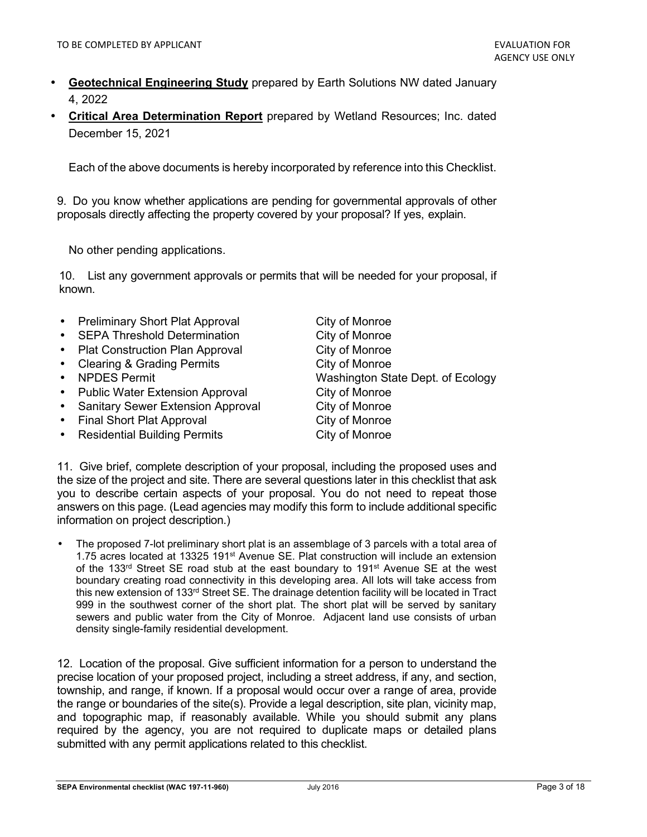- **Geotechnical Engineering Study** prepared by Earth Solutions NW dated January 4, 2022
- **Critical Area Determination Report** prepared by Wetland Resources; Inc. dated December 15, 2021

Each of the above documents is hereby incorporated by reference into this Checklist.

9. Do you know whether applications are pending for governmental approvals of other proposals directly affecting the property covered by your proposal? If yes, explain.

No other pending applications.

10. List any government approvals or permits that will be needed for your proposal, if known.

| • Preliminary Short Plat Approval   | City of Monroe                    |
|-------------------------------------|-----------------------------------|
| • SEPA Threshold Determination      | City of Monroe                    |
| • Plat Construction Plan Approval   | City of Monroe                    |
| • Clearing & Grading Permits        | City of Monroe                    |
| • NPDES Permit                      | Washington State Dept. of Ecology |
| • Public Water Extension Approval   | City of Monroe                    |
| • Sanitary Sewer Extension Approval | City of Monroe                    |
| • Final Short Plat Approval         | City of Monroe                    |
| • Residential Building Permits      | City of Monroe                    |
|                                     |                                   |

11. Give brief, complete description of your proposal, including the proposed uses and the size of the project and site. There are several questions later in this checklist that ask you to describe certain aspects of your proposal. You do not need to repeat those answers on this page. (Lead agencies may modify this form to include additional specific information on project description.)

• The proposed 7-lot preliminary short plat is an assemblage of 3 parcels with a total area of 1.75 acres located at 13325 191<sup>st</sup> Avenue SE. Plat construction will include an extension of the 133<sup>rd</sup> Street SE road stub at the east boundary to 191<sup>st</sup> Avenue SE at the west boundary creating road connectivity in this developing area. All lots will take access from this new extension of 133rd Street SE. The drainage detention facility will be located in Tract 999 in the southwest corner of the short plat. The short plat will be served by sanitary sewers and public water from the City of Monroe. Adjacent land use consists of urban density single-family residential development.

12. Location of the proposal. Give sufficient information for a person to understand the precise location of your proposed project, including a street address, if any, and section, township, and range, if known. If a proposal would occur over a range of area, provide the range or boundaries of the site(s). Provide a legal description, site plan, vicinity map, and topographic map, if reasonably available. While you should submit any plans required by the agency, you are not required to duplicate maps or detailed plans submitted with any permit applications related to this checklist.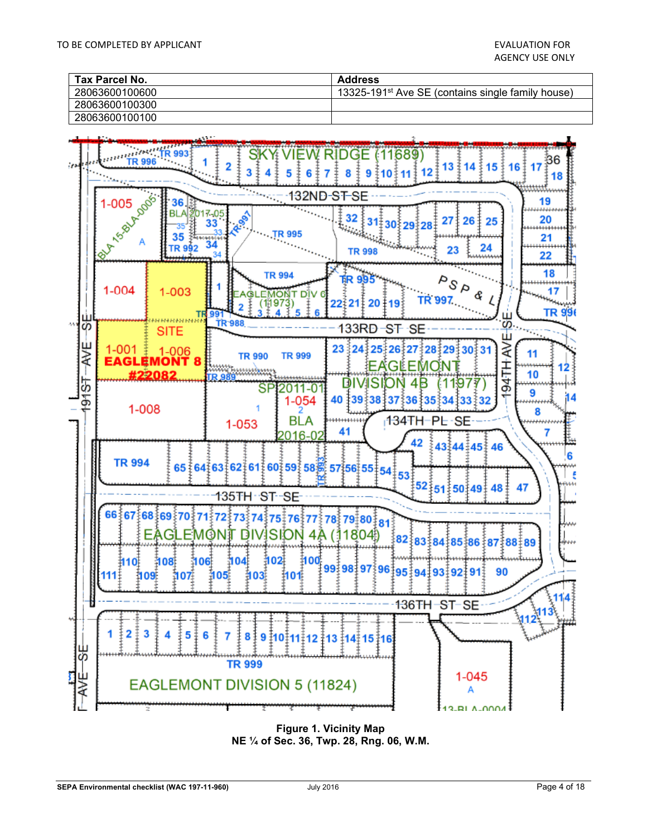| Tax Parcel No. | <b>Address</b>                                                |
|----------------|---------------------------------------------------------------|
| 28063600100600 | 13325-191 <sup>st</sup> Ave SE (contains single family house) |
| 28063600100300 |                                                               |
| 28063600100100 |                                                               |



**Figure 1. Vicinity Map NE ¼ of Sec. 36, Twp. 28, Rng. 06, W.M.**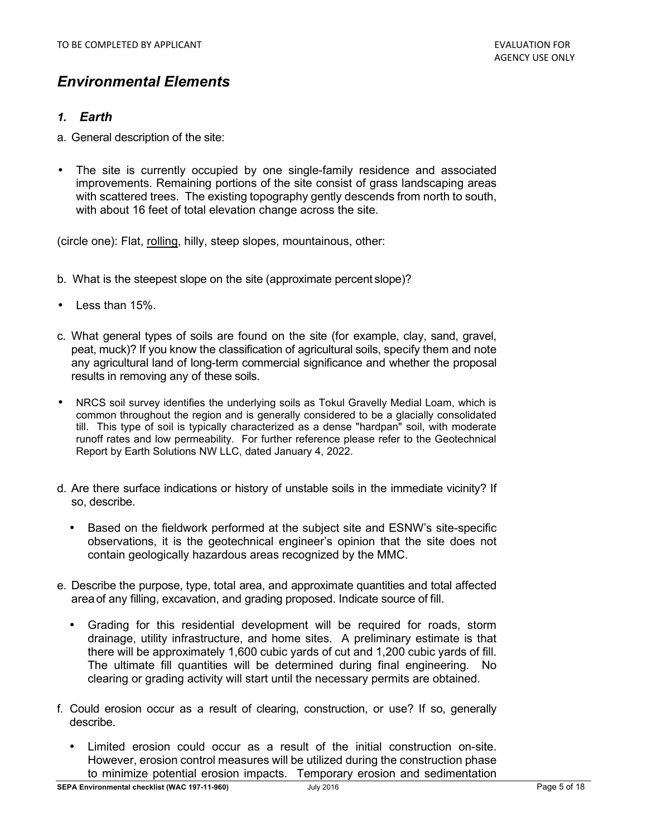# *Environmental Elements*

## *1. Earth*

- a. General description of the site:
- The site is currently occupied by one single-family residence and associated improvements. Remaining portions of the site consist of grass landscaping areas with scattered trees. The existing topography gently descends from north to south, with about 16 feet of total elevation change across the site.

(circle one): Flat, rolling, hilly, steep slopes, mountainous, other:

- b. What is the steepest slope on the site (approximate percent slope)?
- Less than 15%.
- c. What general types of soils are found on the site (for example, clay, sand, gravel, peat, muck)? If you know the classification of agricultural soils, specify them and note any agricultural land of long-term commercial significance and whether the proposal results in removing any of these soils.
- NRCS soil survey identifies the underlying soils as Tokul Gravelly Medial Loam, which is common throughout the region and is generally considered to be a glacially consolidated till. This type of soil is typically characterized as a dense "hardpan" soil, with moderate runoff rates and low permeability. For further reference please refer to the Geotechnical Report by Earth Solutions NW LLC, dated January 4, 2022.
- d. Are there surface indications or history of unstable soils in the immediate vicinity? If so, describe.
	- Based on the fieldwork performed at the subject site and ESNW's site-specific observations, it is the geotechnical engineer's opinion that the site does not contain geologically hazardous areas recognized by the MMC.
- e. Describe the purpose, type, total area, and approximate quantities and total affected area of any filling, excavation, and grading proposed. Indicate source of fill.
	- Grading for this residential development will be required for roads, storm drainage, utility infrastructure, and home sites. A preliminary estimate is that there will be approximately 1,600 cubic yards of cut and 1,200 cubic yards of fill. The ultimate fill quantities will be determined during final engineering. No clearing or grading activity will start until the necessary permits are obtained.
- f. Could erosion occur as a result of clearing, construction, or use? If so, generally describe.
	- Limited erosion could occur as a result of the initial construction on-site. However, erosion control measures will be utilized during the construction phase to minimize potential erosion impacts. Temporary erosion and sedimentation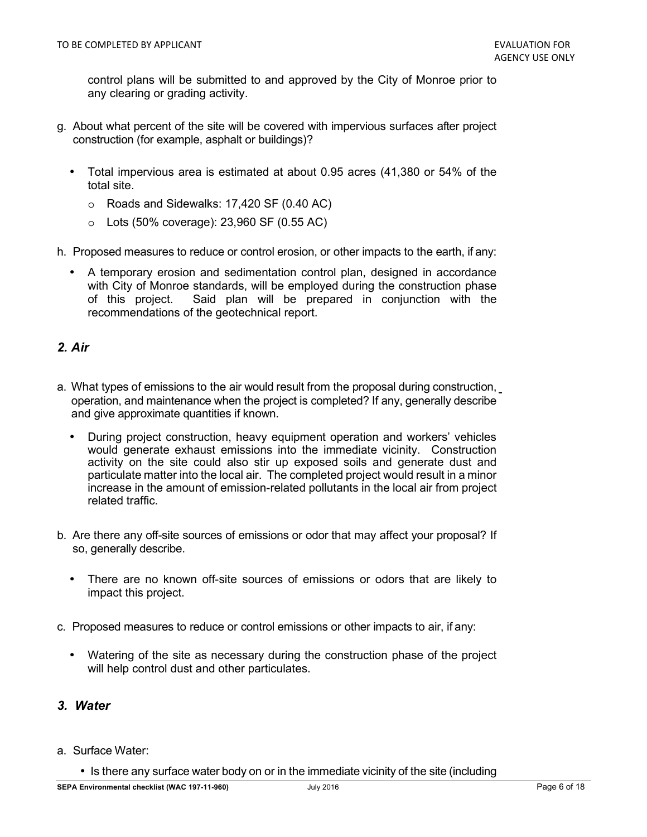control plans will be submitted to and approved by the City of Monroe prior to any clearing or grading activity.

- g. About what percent of the site will be covered with impervious surfaces after project construction (for example, asphalt or buildings)?
	- Total impervious area is estimated at about 0.95 acres (41,380 or 54% of the total site.
		- o Roads and Sidewalks: 17,420 SF (0.40 AC)
		- $\circ$  Lots (50% coverage): 23,960 SF (0.55 AC)
- h. Proposed measures to reduce or control erosion, or other impacts to the earth, if any:
	- A temporary erosion and sedimentation control plan, designed in accordance with City of Monroe standards, will be employed during the construction phase of this project. Said plan will be prepared in conjunction with the recommendations of the geotechnical report.

## *2. Air*

- a. What types of emissions to the air would result from the proposal during construction, operation, and maintenance when the project is completed? If any, generally describe and give approximate quantities if known.
	- During project construction, heavy equipment operation and workers' vehicles would generate exhaust emissions into the immediate vicinity. Construction activity on the site could also stir up exposed soils and generate dust and particulate matter into the local air. The completed project would result in a minor increase in the amount of emission-related pollutants in the local air from project related traffic.
- b. Are there any off-site sources of emissions or odor that may affect your proposal? If so, generally describe.
	- There are no known off-site sources of emissions or odors that are likely to impact this project.
- c. Proposed measures to reduce or control emissions or other impacts to air, if any:
	- Watering of the site as necessary during the construction phase of the project will help control dust and other particulates.

#### *3. Water*

#### a. Surface Water:

• Is there any surface water body on or in the immediate vicinity of the site (including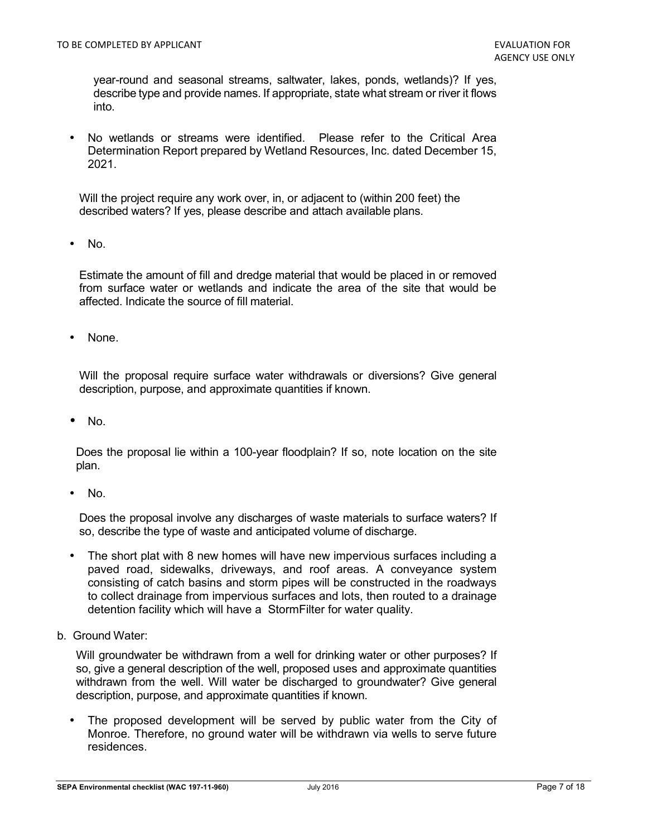year-round and seasonal streams, saltwater, lakes, ponds, wetlands)? If yes, describe type and provide names. If appropriate, state what stream or river it flows into.

• No wetlands or streams were identified. Please refer to the Critical Area Determination Report prepared by Wetland Resources, Inc. dated December 15, 2021.

Will the project require any work over, in, or adjacent to (within 200 feet) the described waters? If yes, please describe and attach available plans.

• No.

Estimate the amount of fill and dredge material that would be placed in or removed from surface water or wetlands and indicate the area of the site that would be affected. Indicate the source of fill material.

None.

Will the proposal require surface water withdrawals or diversions? Give general description, purpose, and approximate quantities if known.

• No.

Does the proposal lie within a 100-year floodplain? If so, note location on the site plan.

• No.

Does the proposal involve any discharges of waste materials to surface waters? If so, describe the type of waste and anticipated volume of discharge.

- The short plat with 8 new homes will have new impervious surfaces including a paved road, sidewalks, driveways, and roof areas. A conveyance system consisting of catch basins and storm pipes will be constructed in the roadways to collect drainage from impervious surfaces and lots, then routed to a drainage detention facility which will have a StormFilter for water quality.
- b. Ground Water:

Will groundwater be withdrawn from a well for drinking water or other purposes? If so, give a general description of the well, proposed uses and approximate quantities withdrawn from the well. Will water be discharged to groundwater? Give general description, purpose, and approximate quantities if known.

The proposed development will be served by public water from the City of Monroe. Therefore, no ground water will be withdrawn via wells to serve future residences.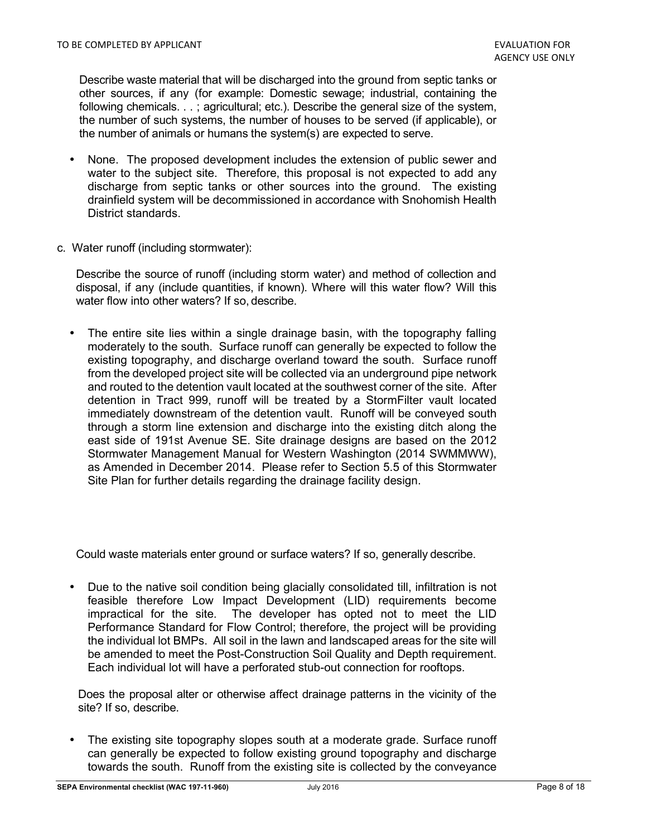Describe waste material that will be discharged into the ground from septic tanks or other sources, if any (for example: Domestic sewage; industrial, containing the following chemicals. . . ; agricultural; etc.). Describe the general size of the system, the number of such systems, the number of houses to be served (if applicable), or the number of animals or humans the system(s) are expected to serve.

- None. The proposed development includes the extension of public sewer and water to the subject site. Therefore, this proposal is not expected to add any discharge from septic tanks or other sources into the ground. The existing drainfield system will be decommissioned in accordance with Snohomish Health District standards.
- c. Water runoff (including stormwater):

Describe the source of runoff (including storm water) and method of collection and disposal, if any (include quantities, if known). Where will this water flow? Will this water flow into other waters? If so, describe.

The entire site lies within a single drainage basin, with the topography falling moderately to the south. Surface runoff can generally be expected to follow the existing topography, and discharge overland toward the south. Surface runoff from the developed project site will be collected via an underground pipe network and routed to the detention vault located at the southwest corner of the site. After detention in Tract 999, runoff will be treated by a StormFilter vault located immediately downstream of the detention vault. Runoff will be conveyed south through a storm line extension and discharge into the existing ditch along the east side of 191st Avenue SE. Site drainage designs are based on the 2012 Stormwater Management Manual for Western Washington (2014 SWMMWW), as Amended in December 2014. Please refer to Section 5.5 of this Stormwater Site Plan for further details regarding the drainage facility design.

Could waste materials enter ground or surface waters? If so, generally describe.

• Due to the native soil condition being glacially consolidated till, infiltration is not feasible therefore Low Impact Development (LID) requirements become impractical for the site. The developer has opted not to meet the LID Performance Standard for Flow Control; therefore, the project will be providing the individual lot BMPs. All soil in the lawn and landscaped areas for the site will be amended to meet the Post-Construction Soil Quality and Depth requirement. Each individual lot will have a perforated stub-out connection for rooftops.

Does the proposal alter or otherwise affect drainage patterns in the vicinity of the site? If so, describe.

The existing site topography slopes south at a moderate grade. Surface runoff can generally be expected to follow existing ground topography and discharge towards the south. Runoff from the existing site is collected by the conveyance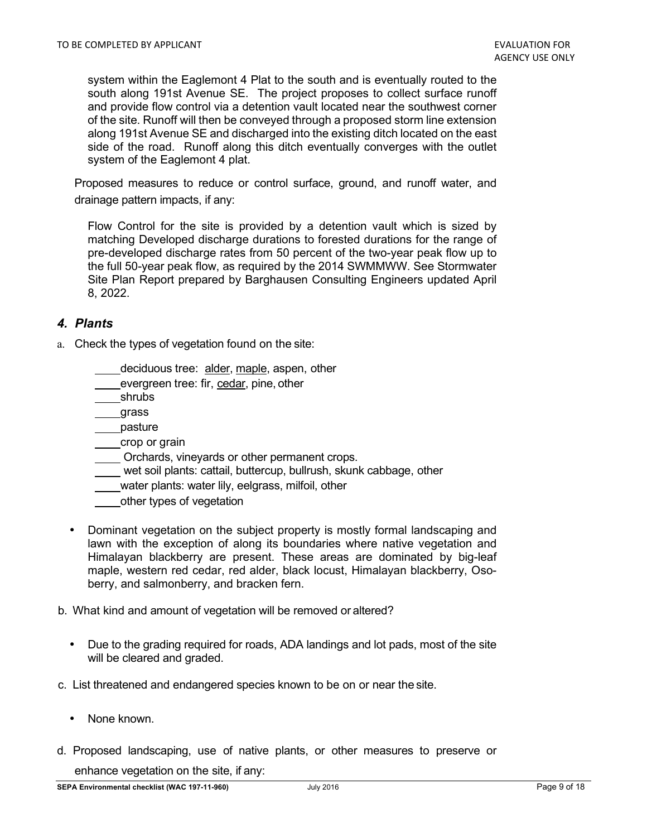system within the Eaglemont 4 Plat to the south and is eventually routed to the south along 191st Avenue SE. The project proposes to collect surface runoff and provide flow control via a detention vault located near the southwest corner of the site. Runoff will then be conveyed through a proposed storm line extension along 191st Avenue SE and discharged into the existing ditch located on the east side of the road. Runoff along this ditch eventually converges with the outlet system of the Eaglemont 4 plat.

Proposed measures to reduce or control surface, ground, and runoff water, and drainage pattern impacts, if any:

Flow Control for the site is provided by a detention vault which is sized by matching Developed discharge durations to forested durations for the range of pre-developed discharge rates from 50 percent of the two-year peak flow up to the full 50-year peak flow, as required by the 2014 SWMMWW. See Stormwater Site Plan Report prepared by Barghausen Consulting Engineers updated April 8, 2022.

## *4. Plants*

- a. Check the types of vegetation found on the site:
	- deciduous tree: alder, maple, aspen, other
	- evergreen tree: fir, cedar, pine, other
	- shrubs
	- grass
	- pasture
	- crop or grain
	- Orchards, vineyards or other permanent crops.
	- wet soil plants: cattail, buttercup, bullrush, skunk cabbage, other
	- water plants: water lily, eelgrass, milfoil, other
	- other types of vegetation
	- Dominant vegetation on the subject property is mostly formal landscaping and lawn with the exception of along its boundaries where native vegetation and Himalayan blackberry are present. These areas are dominated by big-leaf maple, western red cedar, red alder, black locust, Himalayan blackberry, Osoberry, and salmonberry, and bracken fern.
- b. What kind and amount of vegetation will be removed or altered?
	- Due to the grading required for roads, ADA landings and lot pads, most of the site will be cleared and graded.
- c. List threatened and endangered species known to be on or near the site.
	- None known.
- d. Proposed landscaping, use of native plants, or other measures to preserve or enhance vegetation on the site, if any: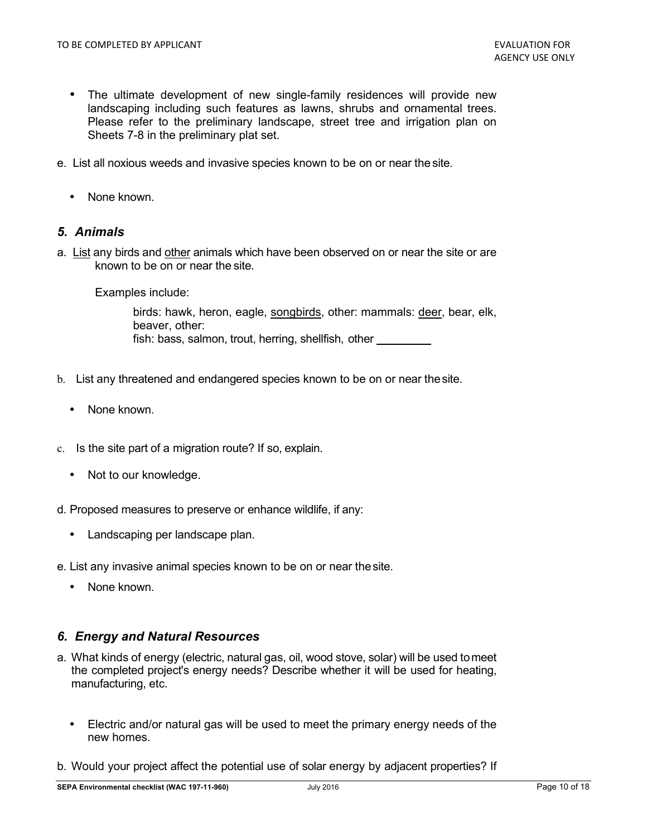- The ultimate development of new single-family residences will provide new landscaping including such features as lawns, shrubs and ornamental trees. Please refer to the preliminary landscape, street tree and irrigation plan on Sheets 7-8 in the preliminary plat set.
- e. List all noxious weeds and invasive species known to be on or near the site.
	- None known.

#### *5. Animals*

a. List any birds and other animals which have been observed on or near the site or are known to be on or near the site.

Examples include:

birds: hawk, heron, eagle, songbirds, other: mammals: deer, bear, elk, beaver, other: fish: bass, salmon, trout, herring, shellfish, other

- b. List any threatened and endangered species known to be on or near the site.
	- None known.
- c. Is the site part of a migration route? If so, explain.
	- Not to our knowledge.
- d. Proposed measures to preserve or enhance wildlife, if any:
	- Landscaping per landscape plan.
- e. List any invasive animal species known to be on or near the site.
	- None known.

#### *6. Energy and Natural Resources*

- a. What kinds of energy (electric, natural gas, oil, wood stove, solar) will be used to meet the completed project's energy needs? Describe whether it will be used for heating, manufacturing, etc.
	- Electric and/or natural gas will be used to meet the primary energy needs of the new homes.
- b. Would your project affect the potential use of solar energy by adjacent properties? If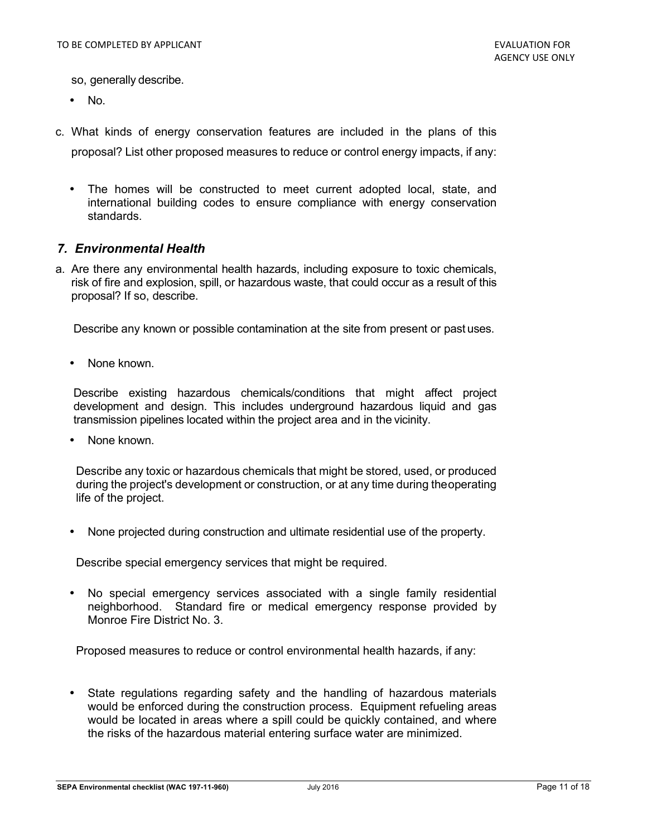- so, generally describe.
- No.
- c. What kinds of energy conservation features are included in the plans of this proposal? List other proposed measures to reduce or control energy impacts, if any:
	- The homes will be constructed to meet current adopted local, state, and international building codes to ensure compliance with energy conservation standards.

#### *7. Environmental Health*

a. Are there any environmental health hazards, including exposure to toxic chemicals, risk of fire and explosion, spill, or hazardous waste, that could occur as a result of this proposal? If so, describe.

Describe any known or possible contamination at the site from present or past uses.

None known.

Describe existing hazardous chemicals/conditions that might affect project development and design. This includes underground hazardous liquid and gas transmission pipelines located within the project area and in the vicinity.

• None known.

Describe any toxic or hazardous chemicals that might be stored, used, or produced during the project's development or construction, or at any time during the operating life of the project.

• None projected during construction and ultimate residential use of the property.

Describe special emergency services that might be required.

• No special emergency services associated with a single family residential neighborhood. Standard fire or medical emergency response provided by Monroe Fire District No. 3.

Proposed measures to reduce or control environmental health hazards, if any:

• State regulations regarding safety and the handling of hazardous materials would be enforced during the construction process. Equipment refueling areas would be located in areas where a spill could be quickly contained, and where the risks of the hazardous material entering surface water are minimized.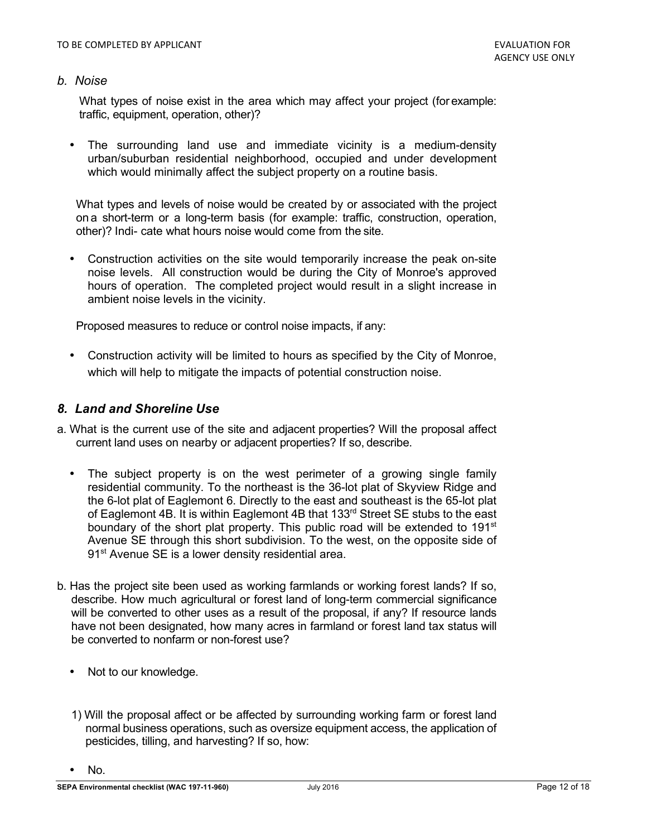#### *b. Noise*

What types of noise exist in the area which may affect your project (for example: traffic, equipment, operation, other)?

The surrounding land use and immediate vicinity is a medium-density urban/suburban residential neighborhood, occupied and under development which would minimally affect the subject property on a routine basis.

What types and levels of noise would be created by or associated with the project on a short-term or a long-term basis (for example: traffic, construction, operation, other)? Indi- cate what hours noise would come from the site.

• Construction activities on the site would temporarily increase the peak on-site noise levels. All construction would be during the City of Monroe's approved hours of operation. The completed project would result in a slight increase in ambient noise levels in the vicinity.

Proposed measures to reduce or control noise impacts, if any:

• Construction activity will be limited to hours as specified by the City of Monroe, which will help to mitigate the impacts of potential construction noise.

#### *8. Land and Shoreline Use*

- a. What is the current use of the site and adjacent properties? Will the proposal affect current land uses on nearby or adjacent properties? If so, describe.
	- The subject property is on the west perimeter of a growing single family residential community. To the northeast is the 36-lot plat of Skyview Ridge and the 6-lot plat of Eaglemont 6. Directly to the east and southeast is the 65-lot plat of Eaglemont 4B. It is within Eaglemont 4B that  $133<sup>rd</sup>$  Street SE stubs to the east boundary of the short plat property. This public road will be extended to 191st Avenue SE through this short subdivision. To the west, on the opposite side of 91<sup>st</sup> Avenue SE is a lower density residential area.
- b. Has the project site been used as working farmlands or working forest lands? If so, describe. How much agricultural or forest land of long-term commercial significance will be converted to other uses as a result of the proposal, if any? If resource lands have not been designated, how many acres in farmland or forest land tax status will be converted to nonfarm or non-forest use?
	- Not to our knowledge.
	- 1) Will the proposal affect or be affected by surrounding working farm or forest land normal business operations, such as oversize equipment access, the application of pesticides, tilling, and harvesting? If so, how:

• No.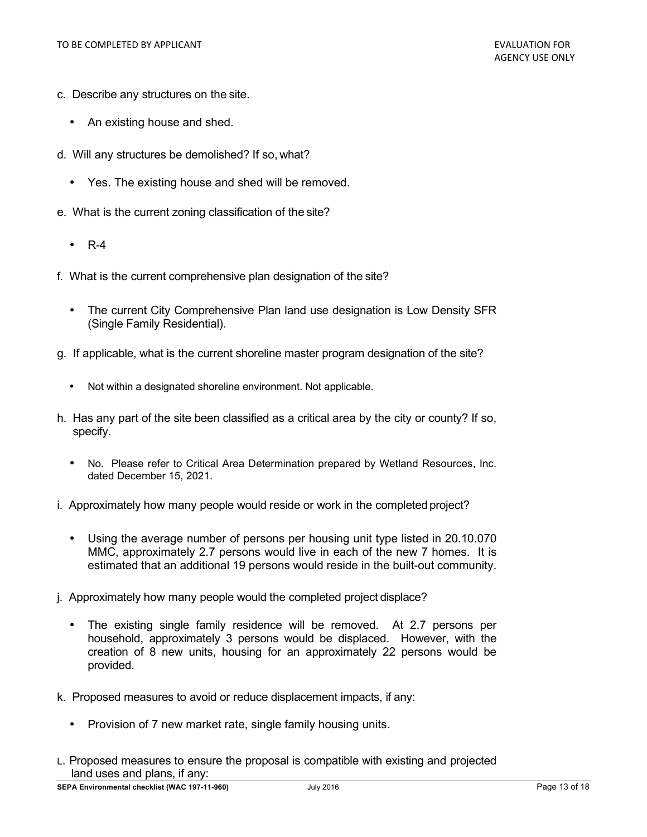- c. Describe any structures on the site.
	- An existing house and shed.
- d. Will any structures be demolished? If so, what?
	- Yes. The existing house and shed will be removed.
- e. What is the current zoning classification of the site?
	- R-4
- f. What is the current comprehensive plan designation of the site?
	- The current City Comprehensive Plan land use designation is Low Density SFR (Single Family Residential).
- g. If applicable, what is the current shoreline master program designation of the site?
	- Not within a designated shoreline environment. Not applicable.
- h. Has any part of the site been classified as a critical area by the city or county? If so, specify.
	- No. Please refer to Critical Area Determination prepared by Wetland Resources, Inc. dated December 15, 2021.
- i. Approximately how many people would reside or work in the completed project?
	- Using the average number of persons per housing unit type listed in 20.10.070 MMC, approximately 2.7 persons would live in each of the new 7 homes. It is estimated that an additional 19 persons would reside in the built-out community.
- j. Approximately how many people would the completed project displace?
	- The existing single family residence will be removed. At 2.7 persons per household, approximately 3 persons would be displaced. However, with the creation of 8 new units, housing for an approximately 22 persons would be provided.
- k. Proposed measures to avoid or reduce displacement impacts, if any:
	- Provision of 7 new market rate, single family housing units.
- L. Proposed measures to ensure the proposal is compatible with existing and projected land uses and plans, if any: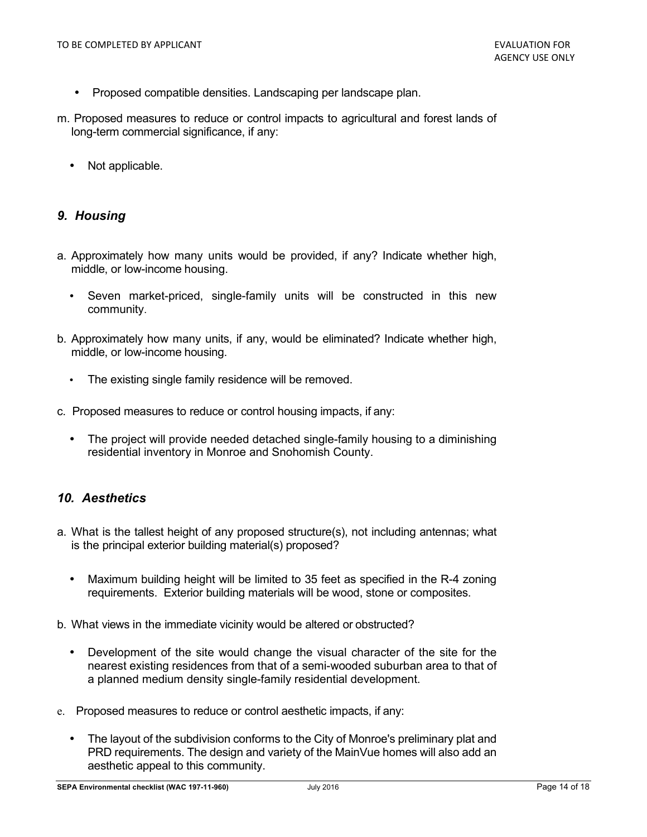- Proposed compatible densities. Landscaping per landscape plan.
- m. Proposed measures to reduce or control impacts to agricultural and forest lands of long-term commercial significance, if any:
	- Not applicable.

## *9. Housing*

- a. Approximately how many units would be provided, if any? Indicate whether high, middle, or low-income housing.
	- Seven market-priced, single-family units will be constructed in this new community.
- b. Approximately how many units, if any, would be eliminated? Indicate whether high, middle, or low-income housing.
	- The existing single family residence will be removed.
- c. Proposed measures to reduce or control housing impacts, if any:
	- The project will provide needed detached single-family housing to a diminishing residential inventory in Monroe and Snohomish County.

## *10. Aesthetics*

- a. What is the tallest height of any proposed structure(s), not including antennas; what is the principal exterior building material(s) proposed?
	- Maximum building height will be limited to 35 feet as specified in the R-4 zoning requirements. Exterior building materials will be wood, stone or composites.
- b. What views in the immediate vicinity would be altered or obstructed?
	- Development of the site would change the visual character of the site for the nearest existing residences from that of a semi-wooded suburban area to that of a planned medium density single-family residential development.
- e. Proposed measures to reduce or control aesthetic impacts, if any:
	- The layout of the subdivision conforms to the City of Monroe's preliminary plat and PRD requirements. The design and variety of the MainVue homes will also add an aesthetic appeal to this community.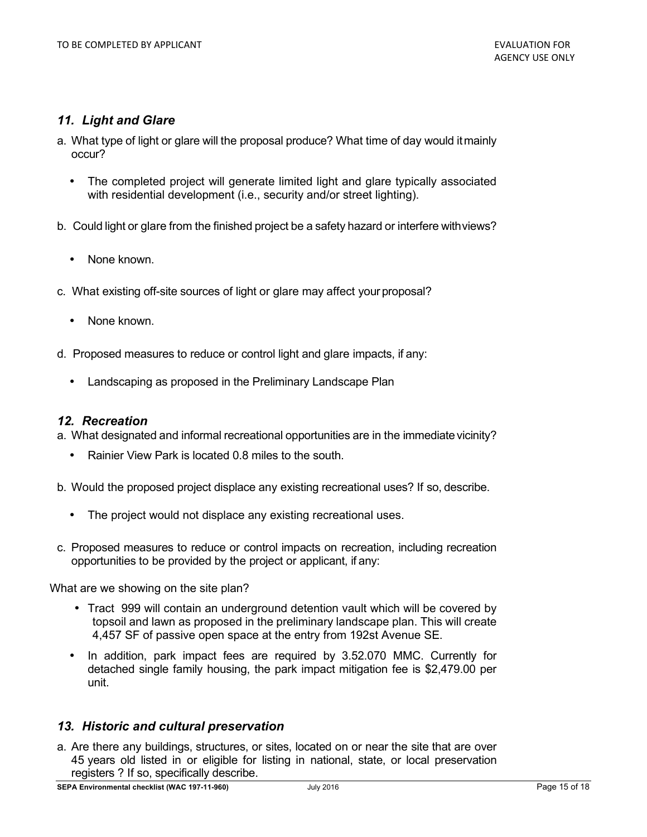## *11. Light and Glare*

- a. What type of light or glare will the proposal produce? What time of day would it mainly occur?
	- The completed project will generate limited light and glare typically associated with residential development (i.e., security and/or street lighting).
- b. Could light or glare from the finished project be a safety hazard or interfere with views?
	- None known.
- c. What existing off-site sources of light or glare may affect your proposal?
	- None known.
- d. Proposed measures to reduce or control light and glare impacts, if any:
	- Landscaping as proposed in the Preliminary Landscape Plan

#### *12. Recreation*

a. What designated and informal recreational opportunities are in the immediate vicinity?

- Rainier View Park is located 0.8 miles to the south.
- b. Would the proposed project displace any existing recreational uses? If so, describe.
	- The project would not displace any existing recreational uses.
- c. Proposed measures to reduce or control impacts on recreation, including recreation opportunities to be provided by the project or applicant, if any:

What are we showing on the site plan?

- Tract 999 will contain an underground detention vault which will be covered by topsoil and lawn as proposed in the preliminary landscape plan. This will create 4,457 SF of passive open space at the entry from 192st Avenue SE.
- In addition, park impact fees are required by 3.52.070 MMC. Currently for detached single family housing, the park impact mitigation fee is \$2,479.00 per unit.

#### *13. Historic and cultural preservation*

a. Are there any buildings, structures, or sites, located on or near the site that are over 45 years old listed in or eligible for listing in national, state, or local preservation registers ? If so, specifically describe.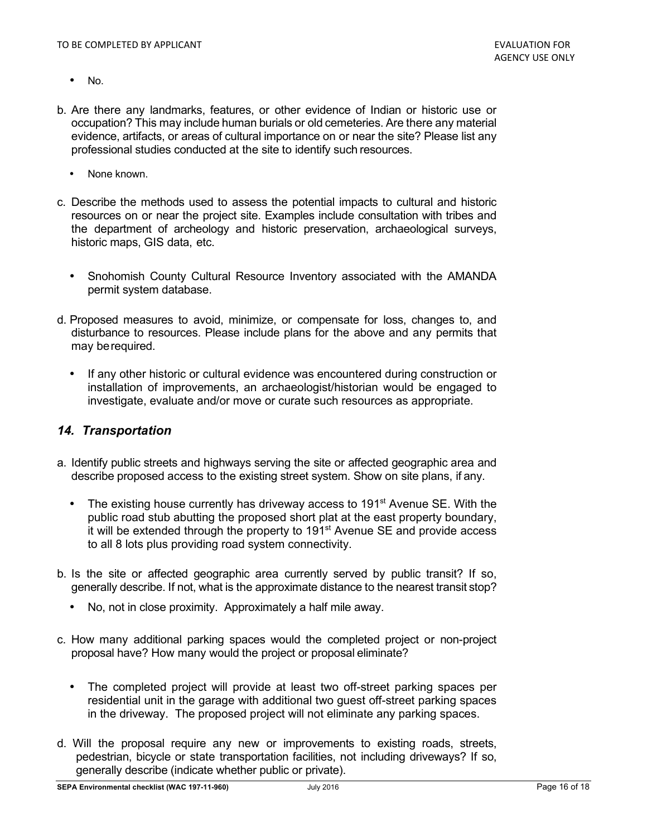- No.
- b. Are there any landmarks, features, or other evidence of Indian or historic use or occupation? This may include human burials or old cemeteries. Are there any material evidence, artifacts, or areas of cultural importance on or near the site? Please list any professional studies conducted at the site to identify such resources.
	- None known.
- c. Describe the methods used to assess the potential impacts to cultural and historic resources on or near the project site. Examples include consultation with tribes and the department of archeology and historic preservation, archaeological surveys, historic maps, GIS data, etc.
	- Snohomish County Cultural Resource Inventory associated with the AMANDA permit system database.
- d. Proposed measures to avoid, minimize, or compensate for loss, changes to, and disturbance to resources. Please include plans for the above and any permits that may be required.
	- If any other historic or cultural evidence was encountered during construction or installation of improvements, an archaeologist/historian would be engaged to investigate, evaluate and/or move or curate such resources as appropriate.

#### *14. Transportation*

- a. Identify public streets and highways serving the site or affected geographic area and describe proposed access to the existing street system. Show on site plans, if any.
	- The existing house currently has driveway access to 191 $\mathrm{st}$  Avenue SE. With the public road stub abutting the proposed short plat at the east property boundary, it will be extended through the property to 191<sup>st</sup> Avenue SE and provide access to all 8 lots plus providing road system connectivity.
- b. Is the site or affected geographic area currently served by public transit? If so, generally describe. If not, what is the approximate distance to the nearest transit stop?
	- No, not in close proximity. Approximately a half mile away.
- c. How many additional parking spaces would the completed project or non-project proposal have? How many would the project or proposal eliminate?
	- The completed project will provide at least two off-street parking spaces per residential unit in the garage with additional two guest off-street parking spaces in the driveway. The proposed project will not eliminate any parking spaces.
- d. Will the proposal require any new or improvements to existing roads, streets, pedestrian, bicycle or state transportation facilities, not including driveways? If so, generally describe (indicate whether public or private).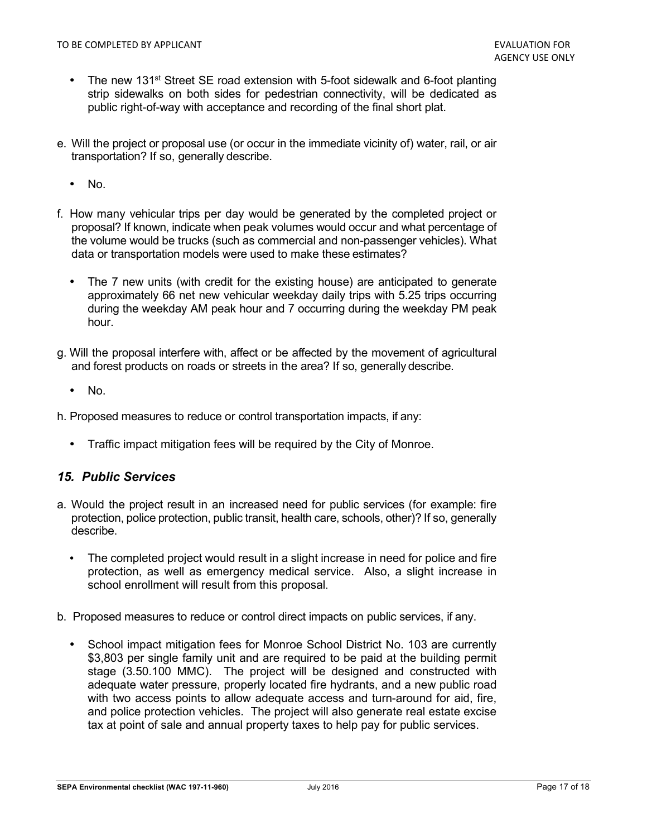- The new 131<sup>st</sup> Street SE road extension with 5-foot sidewalk and 6-foot planting strip sidewalks on both sides for pedestrian connectivity, will be dedicated as public right-of-way with acceptance and recording of the final short plat.
- e. Will the project or proposal use (or occur in the immediate vicinity of) water, rail, or air transportation? If so, generally describe.
	- No.
- f. How many vehicular trips per day would be generated by the completed project or proposal? If known, indicate when peak volumes would occur and what percentage of the volume would be trucks (such as commercial and non-passenger vehicles). What data or transportation models were used to make these estimates?
	- The 7 new units (with credit for the existing house) are anticipated to generate approximately 66 net new vehicular weekday daily trips with 5.25 trips occurring during the weekday AM peak hour and 7 occurring during the weekday PM peak hour.
- g. Will the proposal interfere with, affect or be affected by the movement of agricultural and forest products on roads or streets in the area? If so, generally describe.
	- No.
- h. Proposed measures to reduce or control transportation impacts, if any:
	- Traffic impact mitigation fees will be required by the City of Monroe.

#### *15. Public Services*

- a. Would the project result in an increased need for public services (for example: fire protection, police protection, public transit, health care, schools, other)? If so, generally describe.
	- The completed project would result in a slight increase in need for police and fire protection, as well as emergency medical service. Also, a slight increase in school enrollment will result from this proposal.
- b. Proposed measures to reduce or control direct impacts on public services, if any.
	- School impact mitigation fees for Monroe School District No. 103 are currently \$3,803 per single family unit and are required to be paid at the building permit stage (3.50.100 MMC). The project will be designed and constructed with adequate water pressure, properly located fire hydrants, and a new public road with two access points to allow adequate access and turn-around for aid, fire, and police protection vehicles. The project will also generate real estate excise tax at point of sale and annual property taxes to help pay for public services.